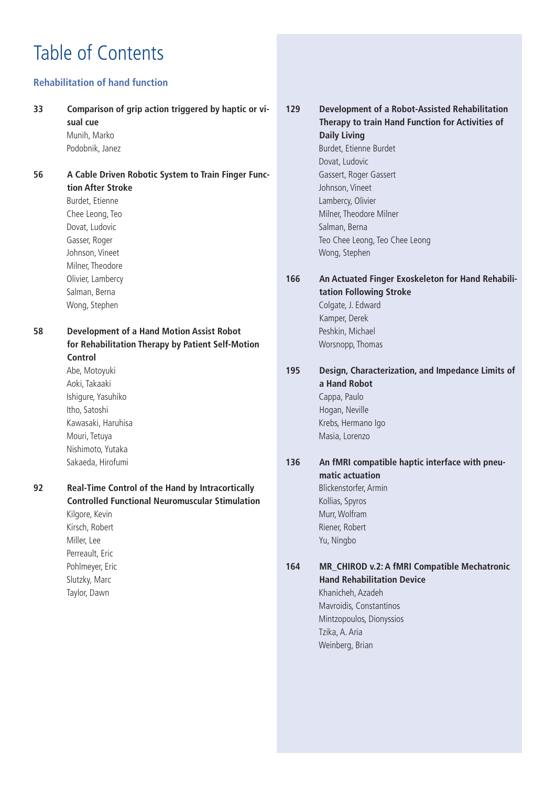# Table of Contents

### **Rehabilitation of hand function**

#### **33 Comparison of grip action triggered by haptic or visual cue**

Munih, Marko Podobnik, Janez

**56 A Cable Driven Robotic System to Train Finger Function After Stroke** Burdet, Etienne Chee Leong, Teo Dovat, Ludovic

Gasser, Roger Johnson, Vineet Milner, Theodore Olivier, Lambercy Salman, Berna Wong, Stephen

**58 Development of a Hand Motion Assist Robot for Rehabilitation Therapy by Patient Self-Motion Control** Abe, Motoyuki

Aoki, Takaaki Ishigure, Yasuhiko Itho, Satoshi Kawasaki, Haruhisa Mouri, Tetuya Nishimoto, Yutaka Sakaeda, Hirofumi

Taylor, Dawn

**92 Real-Time Control of the Hand by Intracortically Controlled Functional Neuromuscular Stimulation** Kilgore, Kevin Kirsch, Robert Miller, Lee Perreault, Eric Pohlmeyer, Eric Slutzky, Marc

### **129 Development of a Robot-Assisted Rehabilitation Therapy to train Hand Function for Activities of Daily Living** Burdet, Etienne Burdet Dovat, Ludovic Gassert, Roger Gassert Johnson, Vineet Lambercy, Olivier Milner, Theodore Milner

Salman, Berna Teo Chee Leong, Teo Chee Leong Wong, Stephen

Worsnopp, Thomas

### **166 An Actuated Finger Exoskeleton for Hand Rehabilitation Following Stroke** Colgate, J. Edward Kamper, Derek Peshkin, Michael

### **195 Design, Characterization, and Impedance Limits of a Hand Robot** Cappa, Paulo Hogan, Neville Krebs, Hermano Igo Masia, Lorenzo

### **136 An fMRI compatible haptic interface with pneumatic actuation** Blickenstorfer, Armin Kollias, Spyros

Murr, Wolfram Riener, Robert Yu, Ningbo

### **164 MR\_CHIROD v.2: A fMRI Compatible Mechatronic Hand Rehabilitation Device**

Khanicheh, Azadeh Mavroidis, Constantinos Mintzopoulos, Dionyssios Tzika, A. Aria Weinberg, Brian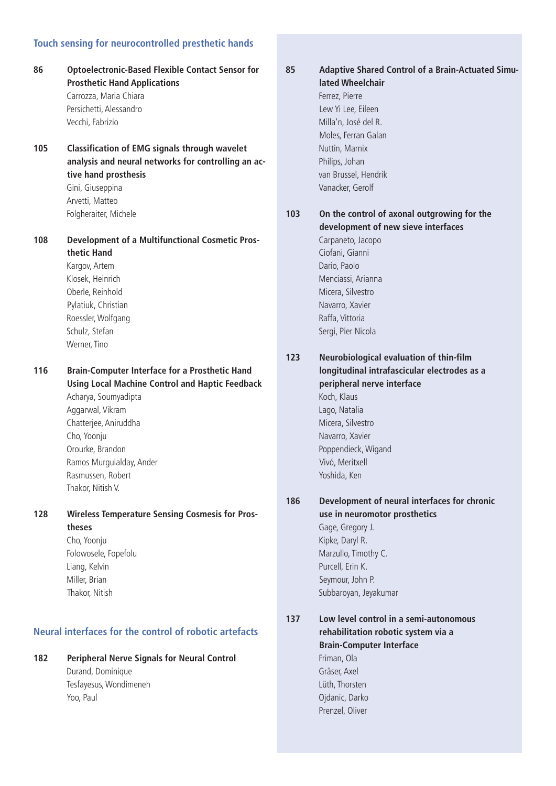### **Touch sensing for neurocontrolled presthetic hands**

- **86 Optoelectronic-Based Flexible Contact Sensor for Prosthetic Hand Applications** Carrozza, Maria Chiara Persichetti, Alessandro Vecchi, Fabrizio **105 Classification of EMG signals through wavelet analysis and neural networks for controlling an active hand prosthesis** Gini, Giuseppina Arvetti, Matteo Folgheraiter, Michele **108 Development of a Multifunctional Cosmetic Prosthetic Hand** Kargov, Artem Klosek, Heinrich Oberle, Reinhold Pylatiuk, Christian Roessler, Wolfgang Schulz, Stefan Werner, Tino **116 Brain-Computer Interface for a Prosthetic Hand Using Local Machine Control and Haptic Feedback** Acharya, Soumyadipta Aggarwal, Vikram Chatterjee, Aniruddha Cho, Yoonju Orourke, Brandon Ramos Murguialday, Ander
	- Rasmussen, Robert Thakor, Nitish V.

#### **128 Wireless Temperature Sensing Cosmesis for Prostheses**

Cho, Yoonju Folowosele, Fopefolu Liang, Kelvin Miller, Brian Thakor, Nitish

#### **Neural interfaces for the control of robotic artefacts**

### **182 Peripheral Nerve Signals for Neural Control**

Durand, Dominique Tesfayesus, Wondimeneh Yoo, Paul

**85 Adaptive Shared Control of a Brain-Actuated Simulated Wheelchair** Ferrez, Pierre Lew Yi Lee, Eileen Milla'n, José del R. Moles, Ferran Galan Nuttin, Marnix Philips, Johan van Brussel, Hendrik

**103 On the control of axonal outgrowing for the development of new sieve interfaces** Carpaneto, Jacopo Ciofani, Gianni

Dario, Paolo Menciassi, Arianna Micera, Silvestro Navarro, Xavier Raffa, Vittoria Sergi, Pier Nicola

Vanacker, Gerolf

**123 Neurobiological evaluation of thin-film longitudinal intrafascicular electrodes as a peripheral nerve interface** Koch, Klaus Lago, Natalia Micera, Silvestro Navarro, Xavier Poppendieck, Wigand Vivó, Meritxell Yoshida, Ken

### **186 Development of neural interfaces for chronic use in neuromotor prosthetics** Gage, Gregory J. Kipke, Daryl R. Marzullo, Timothy C. Purcell, Erin K.

Seymour, John P. Subbaroyan, Jeyakumar

**137 Low level control in a semi-autonomous rehabilitation robotic system via a Brain-Computer Interface** Friman, Ola Gräser, Axel Lüth, Thorsten Ojdanic, Darko Prenzel, Oliver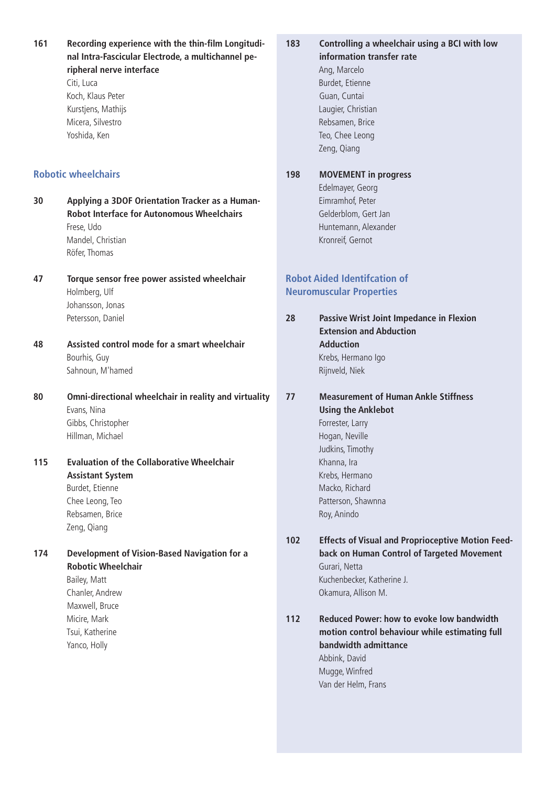**161 Recording experience with the thin-film Longitudinal Intra-Fascicular Electrode, a multichannel peripheral nerve interface** Citi, Luca Koch, Klaus Peter Kurstjens, Mathijs Micera, Silvestro Yoshida, Ken **Robotic wheelchairs 30 Applying a 3DOF Orientation Tracker as a Human-Robot Interface for Autonomous Wheelchairs** Frese, Udo Mandel, Christian Röfer, Thomas **47 Torque sensor free power assisted wheelchair** Holmberg, Ulf Johansson, Jonas Petersson, Daniel **48 Assisted control mode for a smart wheelchair** Bourhis, Guy Sahnoun, M'hamed **80 Omni-directional wheelchair in reality and virtuality** Evans, Nina Gibbs, Christopher Hillman, Michael **115 Evaluation of the Collaborative Wheelchair Assistant System** Burdet, Etienne Chee Leong, Teo Rebsamen, Brice Zeng, Qiang **174 Development of Vision-Based Navigation for a Robotic Wheelchair** Bailey, Matt Chanler, Andrew Maxwell, Bruce Micire, Mark Tsui, Katherine Yanco, Holly **183 Controlling a wheelchair using a BCI with low information transfer rate** Ang, Marcelo Burdet, Etienne Guan, Cuntai Laugier, Christian Rebsamen, Brice Teo, Chee Leong Zeng, Qiang **198 MOVEMENT in progress** Edelmayer, Georg Eimramhof, Peter Gelderblom, Gert Jan Huntemann, Alexander Kronreif, Gernot **Robot Aided Identifcation of Neuromuscular Properties 28 Passive Wrist Joint Impedance in Flexion Extension and Abduction Adduction** Krebs, Hermano Igo Rijnveld, Niek **77 Measurement of Human Ankle Stiffness Using the Anklebot** Forrester, Larry Hogan, Neville Judkins, Timothy Khanna, Ira Krebs, Hermano Macko, Richard Patterson, Shawnna Roy, Anindo **102 Effects of Visual and Proprioceptive Motion Feedback on Human Control of Targeted Movement** Gurari, Netta Kuchenbecker, Katherine J. Okamura, Allison M. **112 Reduced Power: how to evoke low bandwidth motion control behaviour while estimating full bandwidth admittance** Abbink, David Mugge, Winfred Van der Helm, Frans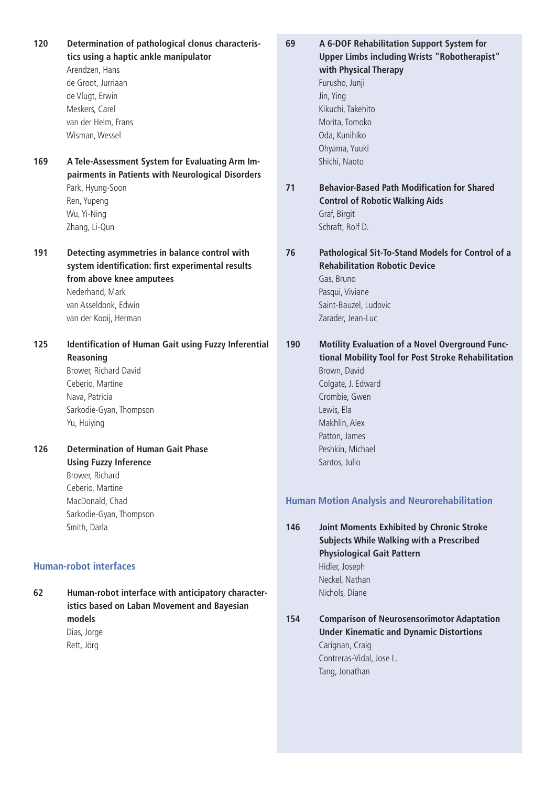**120 Determination of pathological clonus characteristics using a haptic ankle manipulator** Arendzen, Hans de Groot, Jurriaan de Vlugt, Erwin Meskers, Carel van der Helm, Frans Wisman, Wessel **169 A Tele-Assessment System for Evaluating Arm Impairments in Patients with Neurological Disorders** Park, Hyung-Soon Ren, Yupeng Wu, Yi-Ning Zhang, Li-Qun **191 Detecting asymmetries in balance control with system identification: first experimental results from above knee amputees** Nederhand, Mark van Asseldonk, Edwin van der Kooij, Herman **125 Identification of Human Gait using Fuzzy Inferential Reasoning** Brower, Richard David Ceberio, Martine Nava, Patricia Sarkodie-Gyan, Thompson Yu, Huiying **126 Determination of Human Gait Phase Using Fuzzy Inference** Brower, Richard Ceberio, Martine MacDonald, Chad Sarkodie-Gyan, Thompson Smith, Darla

#### **Human-robot interfaces**

**62 Human-robot interface with anticipatory characteristics based on Laban Movement and Bayesian models** Dias, Jorge Rett, Jörg

**69 A 6-DOF Rehabilitation Support System for Upper Limbs including Wrists "Robotherapist" with Physical Therapy** Furusho, Junji Jin, Ying Kikuchi, Takehito Morita, Tomoko Oda, Kunihiko Ohyama, Yuuki Shichi, Naoto **71 Behavior-Based Path Modification for Shared Control of Robotic Walking Aids** Graf, Birgit Schraft, Rolf D. **76 Pathological Sit-To-Stand Models for Control of a**

**Rehabilitation Robotic Device** Gas, Bruno Pasqui, Viviane Saint-Bauzel, Ludovic Zarader, Jean-Luc

**190 Motility Evaluation of a Novel Overground Functional Mobility Tool for Post Stroke Rehabilitation** Brown, David Colgate, J. Edward Crombie, Gwen Lewis, Ela Makhlin, Alex Patton, James Peshkin, Michael Santos, Julio

#### **Human Motion Analysis and Neurorehabilitation**

**146 Joint Moments Exhibited by Chronic Stroke Subjects While Walking with a Prescribed Physiological Gait Pattern** Hidler, Joseph Neckel, Nathan Nichols, Diane

**154 Comparison of Neurosensorimotor Adaptation Under Kinematic and Dynamic Distortions** Carignan, Craig Contreras-Vidal, Jose L. Tang, Jonathan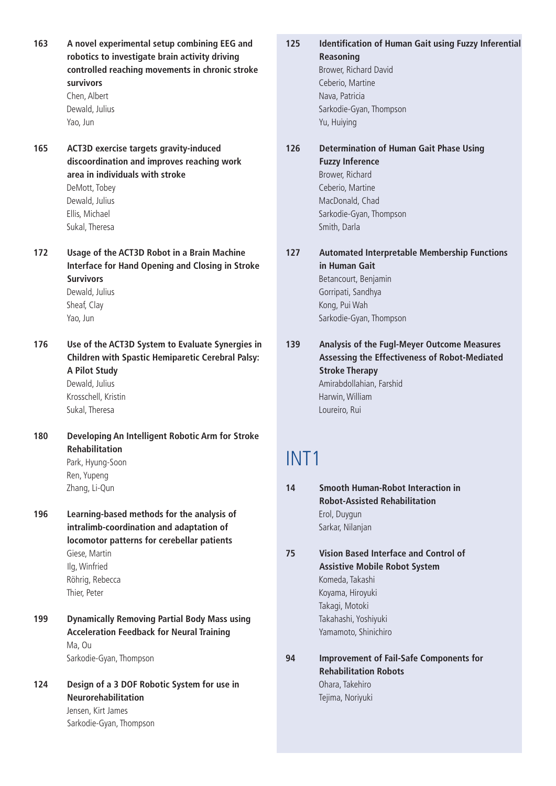**163 A novel experimental setup combining EEG and robotics to investigate brain activity driving controlled reaching movements in chronic stroke survivors**

Chen, Albert Dewald, Julius Yao, Jun

**165 ACT3D exercise targets gravity-induced discoordination and improves reaching work area in individuals with stroke** DeMott, Tobey

> Dewald, Julius Ellis, Michael Sukal, Theresa

- **172 Usage of the ACT3D Robot in a Brain Machine Interface for Hand Opening and Closing in Stroke Survivors** Dewald, Julius Sheaf, Clay Yao, Jun
- **176 Use of the ACT3D System to Evaluate Synergies in Children with Spastic Hemiparetic Cerebral Palsy: A Pilot Study** Dewald, Julius

Krosschell, Kristin Sukal, Theresa

- **180 Developing An Intelligent Robotic Arm for Stroke Rehabilitation** Park, Hyung-Soon Ren, Yupeng Zhang, Li-Qun
- **196 Learning-based methods for the analysis of intralimb-coordination and adaptation of locomotor patterns for cerebellar patients** Giese, Martin Ilg, Winfried Röhrig, Rebecca Thier, Peter
- **199 Dynamically Removing Partial Body Mass using Acceleration Feedback for Neural Training** Ma, Ou Sarkodie-Gyan, Thompson
- **124 Design of a 3 DOF Robotic System for use in Neurorehabilitation** Jensen, Kirt James Sarkodie-Gyan, Thompson
- **125 Identification of Human Gait using Fuzzy Inferential Reasoning** Brower, Richard David Ceberio, Martine Nava, Patricia
	- **126 Determination of Human Gait Phase Using Fuzzy Inference** Brower, Richard Ceberio, Martine MacDonald, Chad Sarkodie-Gyan, Thompson Smith, Darla

Sarkodie-Gyan, Thompson

Yu, Huiying

- **127 Automated Interpretable Membership Functions in Human Gait** Betancourt, Benjamin Gorripati, Sandhya Kong, Pui Wah Sarkodie-Gyan, Thompson
- **139 Analysis of the Fugl-Meyer Outcome Measures Assessing the Effectiveness of Robot-Mediated Stroke Therapy** Amirabdollahian, Farshid Harwin, William Loureiro, Rui

## INT1

- **14 Smooth Human-Robot Interaction in Robot-Assisted Rehabilitation** Erol, Duygun Sarkar, Nilanjan
- **75 Vision Based Interface and Control of Assistive Mobile Robot System** Komeda, Takashi Koyama, Hiroyuki Takagi, Motoki Takahashi, Yoshiyuki Yamamoto, Shinichiro
- **94 Improvement of Fail-Safe Components for Rehabilitation Robots** Ohara, Takehiro Tejima, Noriyuki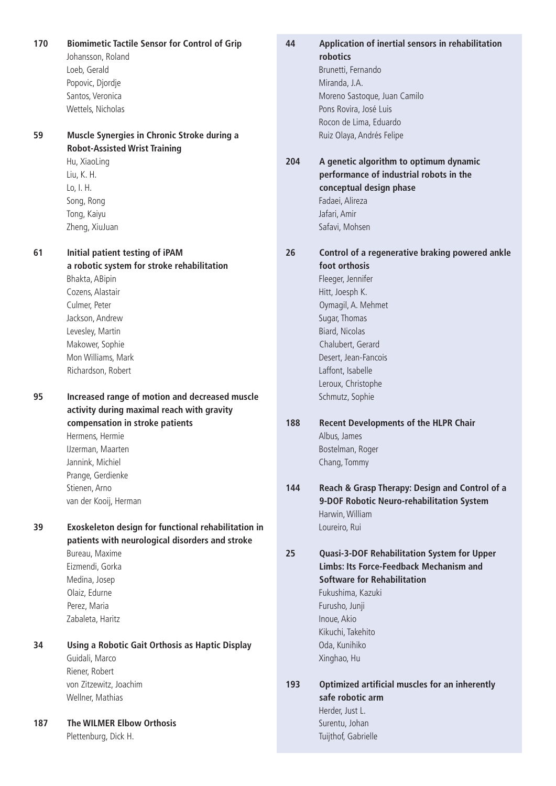**170 Biomimetic Tactile Sensor for Control of Grip** Johansson, Roland Loeb, Gerald Popovic, Djordje Santos, Veronica Wettels, Nicholas

**59 Muscle Synergies in Chronic Stroke during a Robot-Assisted Wrist Training**

> Hu, XiaoLing Liu, K. H. Lo, I. H. Song, Rong Tong, Kaiyu Zheng, XiuJuan

**61 Initial patient testing of iPAM a robotic system for stroke rehabilitation** Bhakta, ABipin Cozens, Alastair Culmer, Peter Jackson, Andrew Levesley, Martin Makower, Sophie Mon Williams, Mark Richardson, Robert

**95 Increased range of motion and decreased muscle activity during maximal reach with gravity compensation in stroke patients** Hermens, Hermie

> IJzerman, Maarten Jannink, Michiel Prange, Gerdienke Stienen, Arno van der Kooij, Herman

**39 Exoskeleton design for functional rehabilitation in patients with neurological disorders and stroke** Bureau, Maxime Eizmendi, Gorka Medina, Josep Olaiz, Edurne

Perez, Maria Zabaleta, Haritz

**34 Using a Robotic Gait Orthosis as Haptic Display** Guidali, Marco Riener, Robert von Zitzewitz, Joachim Wellner, Mathias

**187 The WILMER Elbow Orthosis** Plettenburg, Dick H.

**44 Application of inertial sensors in rehabilitation robotics** Brunetti, Fernando

Miranda, J.A. Moreno Sastoque, Juan Camilo Pons Rovira, José Luis Rocon de Lima, Eduardo Ruiz Olaya, Andrés Felipe

**204 A genetic algorithm to optimum dynamic performance of industrial robots in the conceptual design phase** Fadaei, Alireza Jafari, Amir Safavi, Mohsen

**26 Control of a regenerative braking powered ankle foot orthosis** 

> Fleeger, Jennifer Hitt, Joesph K. Oymagil, A. Mehmet Sugar, Thomas Biard, Nicolas Chalubert, Gerard Desert, Jean-Fancois Laffont, Isabelle Leroux, Christophe Schmutz, Sophie

- **188 Recent Developments of the HLPR Chair** Albus, James Bostelman, Roger Chang, Tommy
- **144 Reach & Grasp Therapy: Design and Control of a 9-DOF Robotic Neuro-rehabilitation System** Harwin, William Loureiro, Rui

**25 Quasi-3-DOF Rehabilitation System for Upper Limbs: Its Force-Feedback Mechanism and Software for Rehabilitation** Fukushima, Kazuki Furusho, Junji Inoue, Akio Kikuchi, Takehito Oda, Kunihiko

Xinghao, Hu

### **193 Optimized artificial muscles for an inherently safe robotic arm** Herder, Just L.

Surentu, Johan Tuijthof, Gabrielle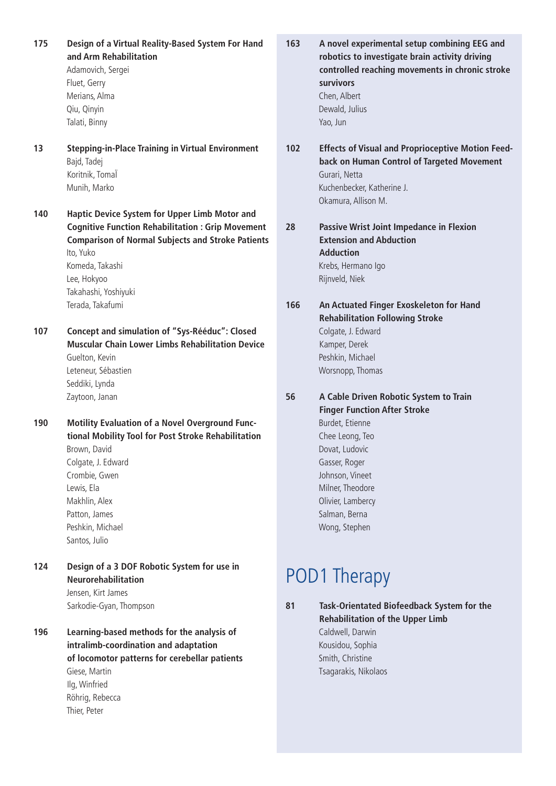**175 Design of a Virtual Reality-Based System For Hand and Arm Rehabilitation**

> Adamovich, Sergei Fluet, Gerry Merians, Alma Qiu, Qinyin Talati, Binny

- **13 Stepping-in-Place Training in Virtual Environment** Bajd, Tadej Koritnik, TomaÏ Munih, Marko
- **140 Haptic Device System for Upper Limb Motor and Cognitive Function Rehabilitation : Grip Movement Comparison of Normal Subjects and Stroke Patients** Ito, Yuko Komeda, Takashi Lee, Hokyoo Takahashi, Yoshiyuki Terada, Takafumi
- **107 Concept and simulation of "Sys-Rééduc": Closed Muscular Chain Lower Limbs Rehabilitation Device** Guelton, Kevin Leteneur, Sébastien Seddiki, Lynda Zaytoon, Janan
- **190 Motility Evaluation of a Novel Overground Functional Mobility Tool for Post Stroke Rehabilitation** Brown, David Colgate, J. Edward Crombie, Gwen Lewis, Ela Makhlin, Alex Patton, James Peshkin, Michael Santos, Julio
- **124 Design of a 3 DOF Robotic System for use in Neurorehabilitation** Jensen, Kirt James Sarkodie-Gyan, Thompson
- **196 Learning-based methods for the analysis of intralimb-coordination and adaptation of locomotor patterns for cerebellar patients** Giese, Martin Ilg, Winfried Röhrig, Rebecca Thier, Peter
- **163 A novel experimental setup combining EEG and robotics to investigate brain activity driving controlled reaching movements in chronic stroke survivors** Chen, Albert Dewald, Julius Yao, Jun
- **102 Effects of Visual and Proprioceptive Motion Feedback on Human Control of Targeted Movement** Gurari, Netta Kuchenbecker, Katherine J. Okamura, Allison M.
- **28 Passive Wrist Joint Impedance in Flexion Extension and Abduction Adduction** Krebs, Hermano Igo Rijnveld, Niek
- **166 An Actuated Finger Exoskeleton for Hand Rehabilitation Following Stroke** Colgate, J. Edward Kamper, Derek Peshkin, Michael Worsnopp, Thomas

**56 A Cable Driven Robotic System to Train Finger Function After Stroke** Burdet, Etienne Chee Leong, Teo Dovat, Ludovic Gasser, Roger Johnson, Vineet Milner, Theodore Olivier, Lambercy Salman, Berna Wong, Stephen

### POD1 Therapy

**81 Task-Orientated Biofeedback System for the Rehabilitation of the Upper Limb** Caldwell, Darwin

Kousidou, Sophia Smith, Christine Tsagarakis, Nikolaos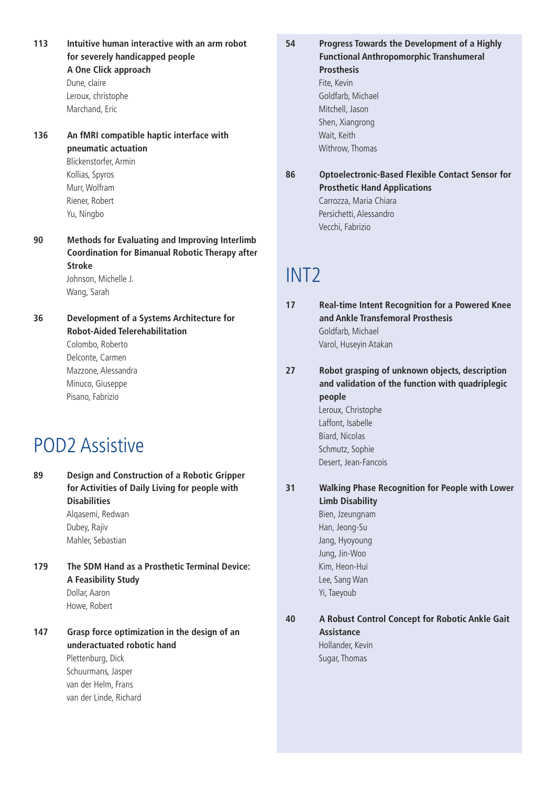- **113 Intuitive human interactive with an arm robot for severely handicapped people A One Click approach** Dune, claire Leroux, christophe Marchand, Eric
- **136 An fMRI compatible haptic interface with pneumatic actuation** Blickenstorfer, Armin Kollias, Spyros Murr, Wolfram Riener, Robert Yu, Ningbo
- **90 Methods for Evaluating and Improving Interlimb Coordination for Bimanual Robotic Therapy after Stroke** Johnson, Michelle J.

Wang, Sarah

- **36 Development of a Systems Architecture for Robot-Aided Telerehabilitation** Colombo, Roberto
	- Delconte, Carmen Mazzone, Alessandra Minuco, Giuseppe Pisano, Fabrizio

### POD2 Assistive

**89 Design and Construction of a Robotic Gripper for Activities of Daily Living for people with Disabilities** Alqasemi, Redwan

Dubey, Rajiv Mahler, Sebastian

- **179 The SDM Hand as a Prosthetic Terminal Device: A Feasibility Study** Dollar, Aaron Howe, Robert
- **147 Grasp force optimization in the design of an underactuated robotic hand** Plettenburg, Dick

Schuurmans, Jasper van der Helm, Frans van der Linde, Richard

- **54 Progress Towards the Development of a Highly Functional Anthropomorphic Transhumeral Prosthesis** Fite, Kevin Goldfarb, Michael Mitchell, Jason Shen, Xiangrong Wait, Keith Withrow, Thomas
- **86 Optoelectronic-Based Flexible Contact Sensor for Prosthetic Hand Applications** Carrozza, Maria Chiara Persichetti, Alessandro Vecchi, Fabrizio

### INT2

- **17 Real-time Intent Recognition for a Powered Knee and Ankle Transfemoral Prosthesis** Goldfarb, Michael Varol, Huseyin Atakan
- **27 Robot grasping of unknown objects, description and validation of the function with quadriplegic people** Leroux, Christophe Laffont, Isabelle Biard, Nicolas Schmutz, Sophie Desert, Jean-Fancois
- **31 Walking Phase Recognition for People with Lower Limb Disability** Bien, Jzeungnam Han, Jeong-Su Jang, Hyoyoung Jung, Jin-Woo Kim, Heon-Hui Lee, Sang Wan Yi, Taeyoub

**40 A Robust Control Concept for Robotic Ankle Gait Assistance** Hollander, Kevin

Sugar, Thomas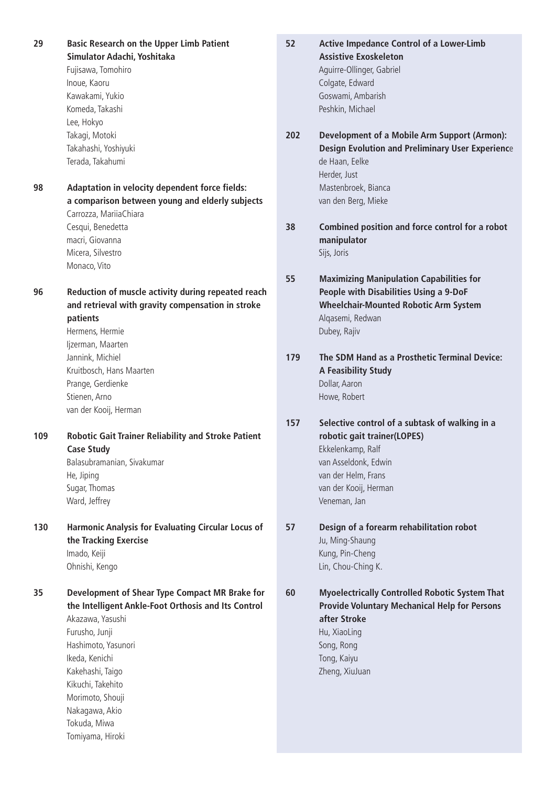**29 Basic Research on the Upper Limb Patient Simulator Adachi, Yoshitaka** Fujisawa, Tomohiro Inoue, Kaoru Kawakami, Yukio Komeda, Takashi Lee, Hokyo Takagi, Motoki Takahashi, Yoshiyuki Terada, Takahumi **98 Adaptation in velocity dependent force fields: a comparison between young and elderly subjects** Carrozza, MariiaChiara Cesqui, Benedetta macri, Giovanna Micera, Silvestro Monaco, Vito **96 Reduction of muscle activity during repeated reach and retrieval with gravity compensation in stroke patients** Hermens, Hermie Ijzerman, Maarten Jannink, Michiel Kruitbosch, Hans Maarten Prange, Gerdienke Stienen, Arno van der Kooij, Herman **109 Robotic Gait Trainer Reliability and Stroke Patient Case Study** Balasubramanian, Sivakumar He, Jiping Sugar, Thomas Ward, Jeffrey **130 Harmonic Analysis for Evaluating Circular Locus of the Tracking Exercise** Imado, Keiji Ohnishi, Kengo **35 Development of Shear Type Compact MR Brake for the Intelligent Ankle-Foot Orthosis and Its Control** Akazawa, Yasushi Furusho, Junji Hashimoto, Yasunori Ikeda, Kenichi Kakehashi, Taigo Kikuchi, Takehito Morimoto, Shouji Nakagawa, Akio Tokuda, Miwa Tomiyama, Hiroki

**52 Active Impedance Control of a Lower-Limb Assistive Exoskeleton** Aguirre-Ollinger, Gabriel Colgate, Edward Goswami, Ambarish Peshkin, Michael **202 Development of a Mobile Arm Support (Armon):**

- **Design Evolution and Preliminary User Experienc**e de Haan, Eelke Herder, Just Mastenbroek, Bianca van den Berg, Mieke
- **38 Combined position and force control for a robot manipulator** Sijs, Joris
- **55 Maximizing Manipulation Capabilities for People with Disabilities Using a 9-DoF Wheelchair-Mounted Robotic Arm System** Alqasemi, Redwan Dubey, Rajiv
- **179 The SDM Hand as a Prosthetic Terminal Device: A Feasibility Study** Dollar, Aaron Howe, Robert
- **157 Selective control of a subtask of walking in a robotic gait trainer(LOPES)** Ekkelenkamp, Ralf van Asseldonk, Edwin van der Helm, Frans van der Kooij, Herman Veneman, Jan
- **57 Design of a forearm rehabilitation robot** Ju, Ming-Shaung Kung, Pin-Cheng Lin, Chou-Ching K.

**60 Myoelectrically Controlled Robotic System That Provide Voluntary Mechanical Help for Persons after Stroke** Hu, XiaoLing Song, Rong Tong, Kaiyu Zheng, XiuJuan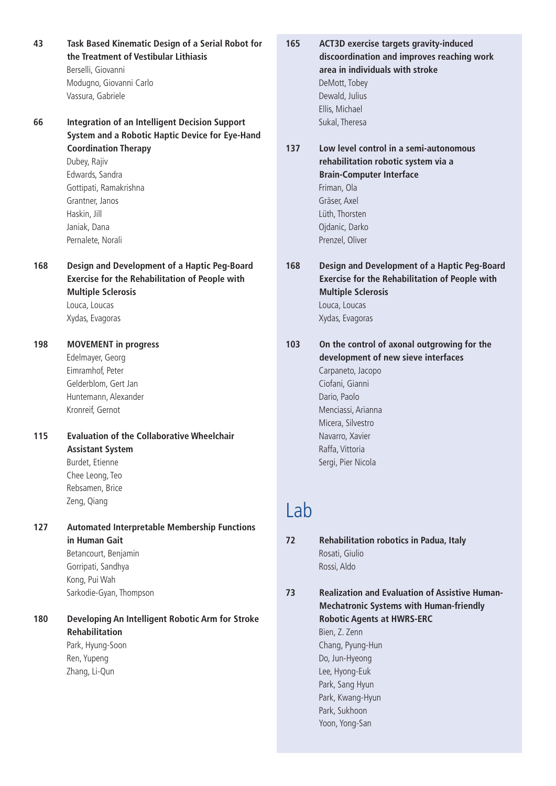- **43 Task Based Kinematic Design of a Serial Robot for the Treatment of Vestibular Lithiasis** Berselli, Giovanni Modugno, Giovanni Carlo Vassura, Gabriele
- **66 Integration of an Intelligent Decision Support System and a Robotic Haptic Device for Eye-Hand Coordination Therapy** Dubey, Rajiv Edwards, Sandra Gottipati, Ramakrishna Grantner, Janos Haskin, Jill Janiak, Dana Pernalete, Norali
- **168 Design and Development of a Haptic Peg-Board Exercise for the Rehabilitation of People with Multiple Sclerosis** Louca, Loucas

Xydas, Evagoras

- **198 MOVEMENT in progress** Edelmayer, Georg Eimramhof, Peter Gelderblom, Gert Jan Huntemann, Alexander Kronreif, Gernot
- **115 Evaluation of the Collaborative Wheelchair Assistant System** Burdet, Etienne Chee Leong, Teo

Rebsamen, Brice Zeng, Qiang

**127 Automated Interpretable Membership Functions in Human Gait** Betancourt, Benjamin

> Gorripati, Sandhya Kong, Pui Wah Sarkodie-Gyan, Thompson

**180 Developing An Intelligent Robotic Arm for Stroke Rehabilitation** Park, Hyung-Soon

Ren, Yupeng Zhang, Li-Qun

- **165 ACT3D exercise targets gravity-induced discoordination and improves reaching work area in individuals with stroke** DeMott, Tobey Dewald, Julius Ellis, Michael Sukal, Theresa
- **137 Low level control in a semi-autonomous rehabilitation robotic system via a Brain-Computer Interface** Friman, Ola Gräser, Axel
	- Lüth, Thorsten Ojdanic, Darko Prenzel, Oliver

**168 Design and Development of a Haptic Peg-Board Exercise for the Rehabilitation of People with Multiple Sclerosis** Louca, Loucas Xydas, Evagoras

**103 On the control of axonal outgrowing for the development of new sieve interfaces** Carpaneto, Jacopo Ciofani, Gianni Dario, Paolo Menciassi, Arianna Micera, Silvestro Navarro, Xavier Raffa, Vittoria Sergi, Pier Nicola

### Lab

**72 Rehabilitation robotics in Padua, Italy** Rosati, Giulio Rossi, Aldo

**73 Realization and Evaluation of Assistive Human-Mechatronic Systems with Human-friendly Robotic Agents at HWRS-ERC** Bien, Z. Zenn Chang, Pyung-Hun Do, Jun-Hyeong Lee, Hyong-Euk Park, Sang Hyun Park, Kwang-Hyun Park, Sukhoon Yoon, Yong-San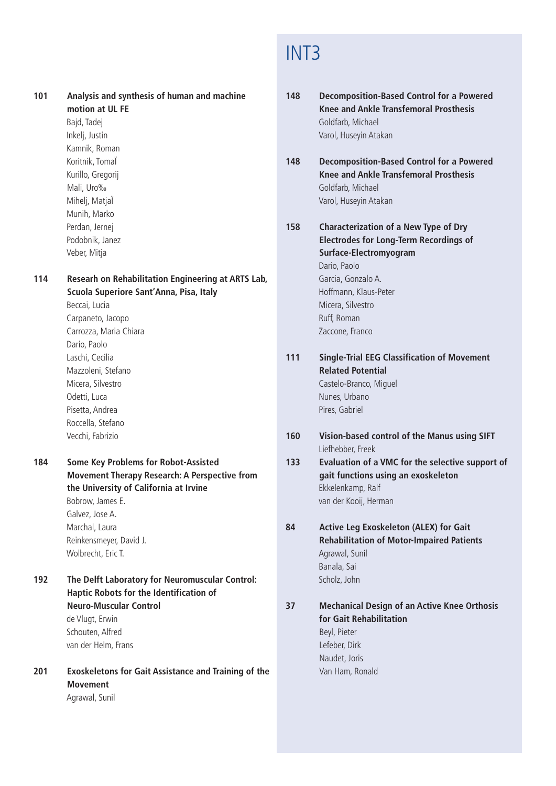### INT3

**101 Analysis and synthesis of human and machine motion at UL FE**

Bajd, Tadej Inkelj, Justin Kamnik, Roman Koritnik, TomaÏ Kurillo, Gregorij Mali, Uro‰ Miheli, MatiaÏ Munih, Marko Perdan, Jernej Podobnik, Janez Veber, Mitja

**114 Researh on Rehabilitation Engineering at ARTS Lab, Scuola Superiore Sant'Anna, Pisa, Italy**

Beccai, Lucia Carpaneto, Jacopo Carrozza, Maria Chiara Dario, Paolo Laschi, Cecilia Mazzoleni, Stefano Micera, Silvestro Odetti, Luca Pisetta, Andrea Roccella, Stefano Vecchi, Fabrizio

**184 Some Key Problems for Robot-Assisted Movement Therapy Research: A Perspective from the University of California at Irvine** Bobrow, James E. Galvez, Jose A. Marchal, Laura Reinkensmeyer, David J. Wolbrecht, Eric T.

- **192 The Delft Laboratory for Neuromuscular Control: Haptic Robots for the Identification of Neuro-Muscular Control** de Vlugt, Erwin Schouten, Alfred van der Helm, Frans
- **201 Exoskeletons for Gait Assistance and Training of the Movement** Agrawal, Sunil

**148 Decomposition-Based Control for a Powered Knee and Ankle Transfemoral Prosthesis** Goldfarb, Michael Varol, Huseyin Atakan

- **148 Decomposition-Based Control for a Powered Knee and Ankle Transfemoral Prosthesis** Goldfarb, Michael Varol, Huseyin Atakan
- **158 Characterization of a New Type of Dry Electrodes for Long-Term Recordings of Surface-Electromyogram** Dario, Paolo Garcia, Gonzalo A. Hoffmann, Klaus-Peter Micera, Silvestro Ruff, Roman Zaccone, Franco
- **111 Single-Trial EEG Classification of Movement Related Potential** Castelo-Branco, Miguel Nunes, Urbano Pires, Gabriel
- **160 Vision-based control of the Manus using SIFT** Liefhebber, Freek
- **133 Evaluation of a VMC for the selective support of gait functions using an exoskeleton** Ekkelenkamp, Ralf van der Kooij, Herman
- **84 Active Leg Exoskeleton (ALEX) for Gait Rehabilitation of Motor-Impaired Patients** Agrawal, Sunil Banala, Sai Scholz, John

**37 Mechanical Design of an Active Knee Orthosis for Gait Rehabilitation** Beyl, Pieter Lefeber, Dirk Naudet, Joris Van Ham, Ronald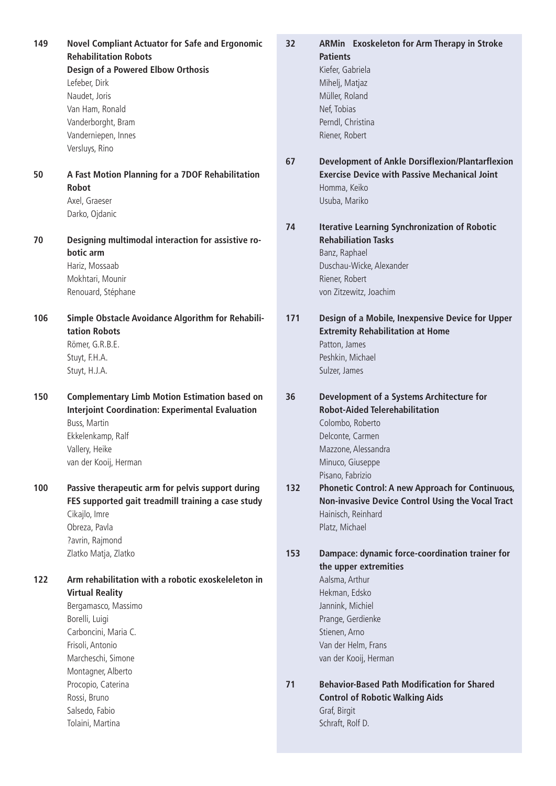**149 Novel Compliant Actuator for Safe and Ergonomic Rehabilitation Robots Design of a Powered Elbow Orthosis** Lefeber, Dirk Naudet, Joris Van Ham, Ronald Vanderborght, Bram Vanderniepen, Innes Versluys, Rino **50 A Fast Motion Planning for a 7DOF Rehabilitation Robot** Axel, Graeser Darko, Ojdanic **70 Designing multimodal interaction for assistive robotic arm** Hariz, Mossaab Mokhtari, Mounir Renouard, Stéphane **106 Simple Obstacle Avoidance Algorithm for Rehabilitation Robots** Römer, G.R.B.E. Stuyt, F.H.A. Stuyt, H.J.A. **150 Complementary Limb Motion Estimation based on Interjoint Coordination: Experimental Evaluation** Buss, Martin Ekkelenkamp, Ralf Vallery, Heike van der Kooij, Herman **100 Passive therapeutic arm for pelvis support during FES supported gait treadmill training a case study** Cikajlo, Imre Obreza, Pavla ?avrin, Rajmond Zlatko Matja, Zlatko **122 Arm rehabilitation with a robotic exoskeleleton in Virtual Reality** Bergamasco, Massimo Borelli, Luigi Carboncini, Maria C. Frisoli, Antonio Marcheschi, Simone Montagner, Alberto Procopio, Caterina Rossi, Bruno Salsedo, Fabio Tolaini, Martina

- **32 ARMin Exoskeleton for Arm Therapy in Stroke Patients** Kiefer, Gabriela Mihelj, Matjaz Müller, Roland Nef, Tobias Perndl, Christina Riener, Robert
	- **67 Development of Ankle Dorsiflexion/Plantarflexion Exercise Device with Passive Mechanical Joint** Homma, Keiko Usuba, Mariko
	- **74 Iterative Learning Synchronization of Robotic Rehabiliation Tasks** Banz, Raphael Duschau-Wicke, Alexander Riener, Robert von Zitzewitz, Joachim
	- **171 Design of a Mobile, Inexpensive Device for Upper Extremity Rehabilitation at Home** Patton, James Peshkin, Michael Sulzer, James
	- **36 Development of a Systems Architecture for Robot-Aided Telerehabilitation** Colombo, Roberto Delconte, Carmen Mazzone, Alessandra Minuco, Giuseppe Pisano, Fabrizio
	- **132 Phonetic Control: A new Approach for Continuous, Non-invasive Device Control Using the Vocal Tract** Hainisch, Reinhard Platz, Michael
	- **153 Dampace: dynamic force-coordination trainer for the upper extremities**

Aalsma, Arthur Hekman, Edsko Jannink, Michiel Prange, Gerdienke Stienen, Arno Van der Helm, Frans van der Kooij, Herman

**71 Behavior-Based Path Modification for Shared Control of Robotic Walking Aids** Graf, Birgit Schraft, Rolf D.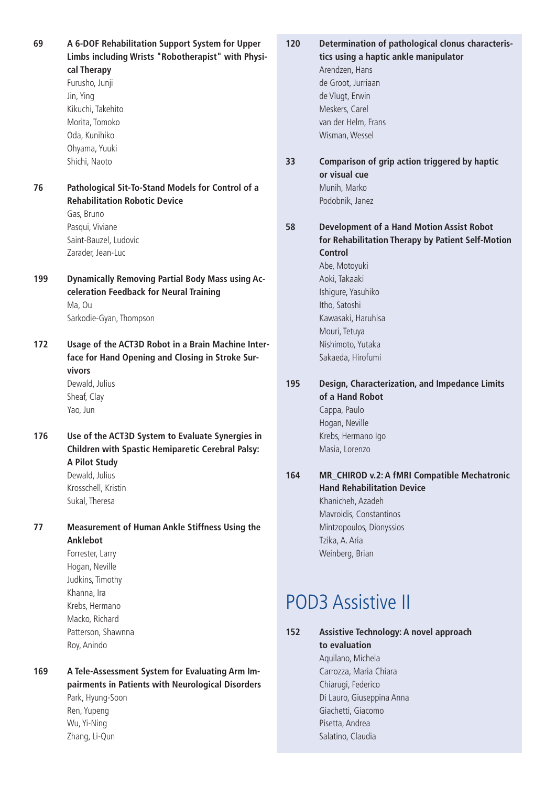**69 A 6-DOF Rehabilitation Support System for Upper Limbs including Wrists "Robotherapist" with Physical Therapy**

Furusho, Junji Jin, Ying Kikuchi, Takehito Morita, Tomoko Oda, Kunihiko Ohyama, Yuuki Shichi, Naoto

**76 Pathological Sit-To-Stand Models for Control of a Rehabilitation Robotic Device** Gas, Bruno Pasqui, Viviane Saint-Bauzel, Ludovic Zarader, Jean-Luc

**199 Dynamically Removing Partial Body Mass using Acceleration Feedback for Neural Training** Ma, Ou Sarkodie-Gyan, Thompson

**172 Usage of the ACT3D Robot in a Brain Machine Interface for Hand Opening and Closing in Stroke Survivors**

> Dewald, Julius Sheaf, Clay Yao, Jun

**176 Use of the ACT3D System to Evaluate Synergies in Children with Spastic Hemiparetic Cerebral Palsy: A Pilot Study** Dewald, Julius

Krosschell, Kristin Sukal, Theresa

**77 Measurement of Human Ankle Stiffness Using the Anklebot**

> Forrester, Larry Hogan, Neville Judkins, Timothy Khanna, Ira Krebs, Hermano Macko, Richard Patterson, Shawnna Roy, Anindo

**169 A Tele-Assessment System for Evaluating Arm Impairments in Patients with Neurological Disorders** Park, Hyung-Soon Ren, Yupeng Wu, Yi-Ning Zhang, Li-Qun

- **120 Determination of pathological clonus characteristics using a haptic ankle manipulator** Arendzen, Hans de Groot, Jurriaan de Vlugt, Erwin Meskers, Carel van der Helm, Frans Wisman, Wessel
- **33 Comparison of grip action triggered by haptic or visual cue** Munih, Marko Podobnik, Janez

**58 Development of a Hand Motion Assist Robot for Rehabilitation Therapy by Patient Self-Motion Control** Abe, Motoyuki Aoki, Takaaki Ishigure, Yasuhiko Itho, Satoshi Kawasaki, Haruhisa Mouri, Tetuya Nishimoto, Yutaka Sakaeda, Hirofumi

### **195 Design, Characterization, and Impedance Limits of a Hand Robot** Cappa, Paulo Hogan, Neville

Krebs, Hermano Igo Masia, Lorenzo

#### **164 MR\_CHIROD v.2: A fMRI Compatible Mechatronic Hand Rehabilitation Device**

Khanicheh, Azadeh Mavroidis, Constantinos Mintzopoulos, Dionyssios Tzika, A. Aria Weinberg, Brian

# POD3 Assistive II

- **152 Assistive Technology: A novel approach to evaluation** Aquilano, Michela Carrozza, Maria Chiara Chiarugi, Federico Di Lauro, Giuseppina Anna Giachetti, Giacomo Pisetta, Andrea
	- Salatino, Claudia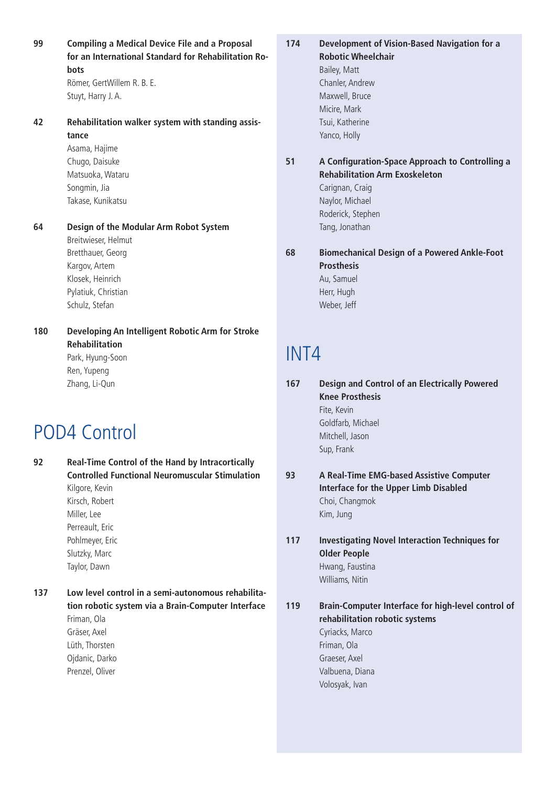**99 Compiling a Medical Device File and a Proposal for an International Standard for Rehabilitation Robots** Römer, GertWillem R. B. E.

Stuyt, Harry J. A.

**42 Rehabilitation walker system with standing assistance**

> Asama, Hajime Chugo, Daisuke Matsuoka, Wataru Songmin, Jia Takase, Kunikatsu

**64 Design of the Modular Arm Robot System** Breitwieser, Helmut

Bretthauer, Georg Kargov, Artem Klosek, Heinrich Pylatiuk, Christian Schulz, Stefan

**180 Developing An Intelligent Robotic Arm for Stroke Rehabilitation** Park, Hyung-Soon Ren, Yupeng

Zhang, Li-Qun

### POD4 Control

**92 Real-Time Control of the Hand by Intracortically Controlled Functional Neuromuscular Stimulation** Kilgore, Kevin Kirsch, Robert Miller, Lee Perreault, Eric Pohlmeyer, Eric Slutzky, Marc Taylor, Dawn

**137 Low level control in a semi-autonomous rehabilitation robotic system via a Brain-Computer Interface** Friman, Ola Gräser, Axel Lüth, Thorsten

Ojdanic, Darko Prenzel, Oliver

**174 Development of Vision-Based Navigation for a Robotic Wheelchair** Bailey, Matt

Chanler, Andrew Maxwell, Bruce Micire, Mark Tsui, Katherine Yanco, Holly

### **51 A Configuration-Space Approach to Controlling a Rehabilitation Arm Exoskeleton**

Carignan, Craig Naylor, Michael Roderick, Stephen Tang, Jonathan

**68 Biomechanical Design of a Powered Ankle-Foot Prosthesis** Au, Samuel Herr, Hugh Weber, Jeff

### INT4

**167 Design and Control of an Electrically Powered Knee Prosthesis** Fite, Kevin Goldfarb, Michael Mitchell, Jason Sup, Frank

### **93 A Real-Time EMG-based Assistive Computer Interface for the Upper Limb Disabled** Choi, Changmok Kim, Jung

**117 Investigating Novel Interaction Techniques for Older People** Hwang, Faustina Williams, Nitin

**119 Brain-Computer Interface for high-level control of rehabilitation robotic systems** Cyriacks, Marco Friman, Ola Graeser, Axel Valbuena, Diana Volosyak, Ivan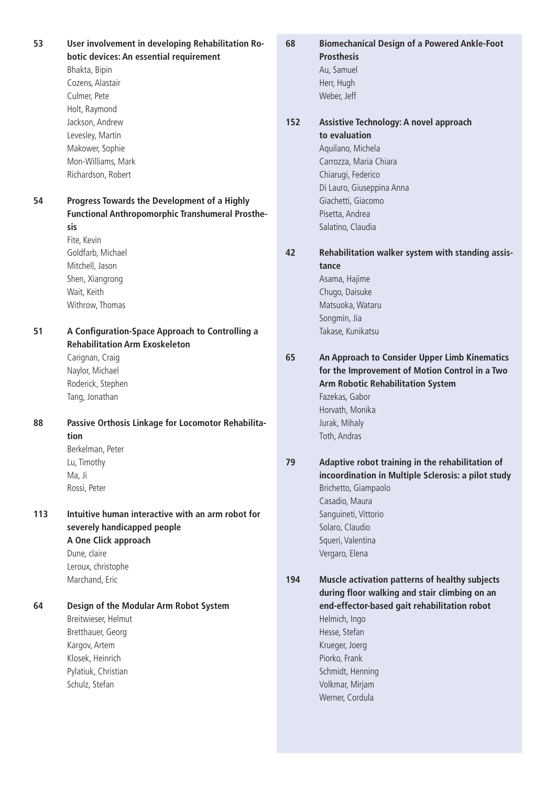**53 User involvement in developing Rehabilitation Robotic devices: An essential requirement** Bhakta, Bipin Cozens, Alastair Culmer, Pete Holt, Raymond Jackson, Andrew Levesley, Martin Makower, Sophie Mon-Williams, Mark Richardson, Robert **54 Progress Towards the Development of a Highly Functional Anthropomorphic Transhumeral Prosthesis** Fite, Kevin Goldfarb, Michael Mitchell, Jason Shen, Xiangrong Wait, Keith Withrow, Thomas **51 A Configuration-Space Approach to Controlling a Rehabilitation Arm Exoskeleton** Carignan, Craig Naylor, Michael Roderick, Stephen Tang, Jonathan **88 Passive Orthosis Linkage for Locomotor Rehabilitation** Berkelman, Peter Lu, Timothy Ma, Ji Rossi, Peter **113 Intuitive human interactive with an arm robot for severely handicapped people A One Click approach** Dune, claire Leroux, christophe Marchand, Eric **64 Design of the Modular Arm Robot System** Breitwieser, Helmut Bretthauer, Georg Kargov, Artem Klosek, Heinrich Pylatiuk, Christian Schulz, Stefan **68 Biomechanical Design of a Powered Ankle-Foot Prosthesis** Au, Samuel Herr, Hugh Weber, Jeff **152 Assistive Technology: A novel approach to evaluation** Aquilano, Michela Carrozza, Maria Chiara Chiarugi, Federico Di Lauro, Giuseppina Anna Giachetti, Giacomo Pisetta, Andrea Salatino, Claudia **42 Rehabilitation walker system with standing assistance** Asama, Hajime Chugo, Daisuke Matsuoka, Wataru Songmin, Jia Takase, Kunikatsu **65 An Approach to Consider Upper Limb Kinematics for the Improvement of Motion Control in a Two Arm Robotic Rehabilitation System** Fazekas, Gabor Horvath, Monika Jurak, Mihaly Toth, Andras **79 Adaptive robot training in the rehabilitation of incoordination in Multiple Sclerosis: a pilot study** Brichetto, Giampaolo Casadio, Maura Sanguineti, Vittorio Solaro, Claudio Squeri, Valentina Vergaro, Elena **194 Muscle activation patterns of healthy subjects during floor walking and stair climbing on an end-effector-based gait rehabilitation robot** Helmich, Ingo Hesse, Stefan Krueger, Joerg Piorko, Frank Schmidt, Henning Volkmar, Mirjam Werner, Cordula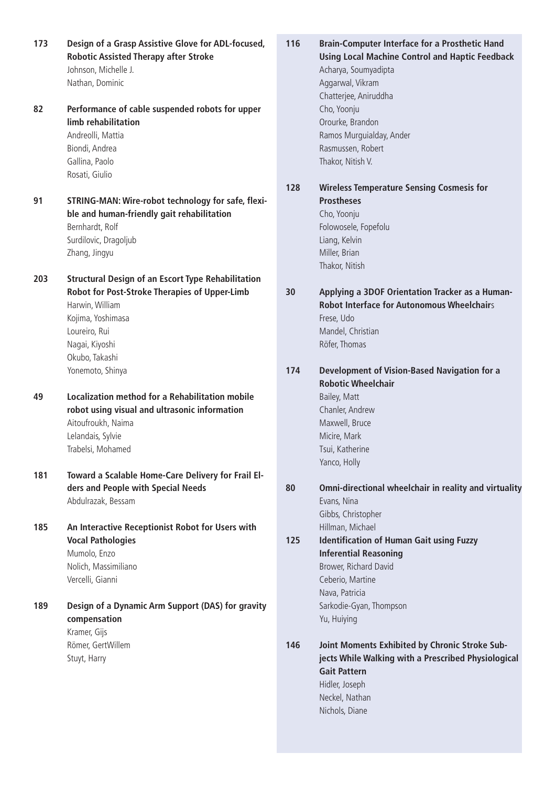**173 Design of a Grasp Assistive Glove for ADL-focused, Robotic Assisted Therapy after Stroke** Johnson, Michelle J. Nathan, Dominic **82 Performance of cable suspended robots for upper limb rehabilitation** Andreolli, Mattia Biondi, Andrea Gallina, Paolo Rosati, Giulio **91 STRING-MAN: Wire-robot technology for safe, flexible and human-friendly gait rehabilitation** Bernhardt, Rolf Surdilovic, Dragoljub Zhang, Jingyu **203 Structural Design of an Escort Type Rehabilitation Robot for Post-Stroke Therapies of Upper-Limb** Harwin, William Kojima, Yoshimasa Loureiro, Rui Nagai, Kiyoshi Okubo, Takashi Yonemoto, Shinya **49 Localization method for a Rehabilitation mobile robot using visual and ultrasonic information** Aitoufroukh, Naima Lelandais, Sylvie Trabelsi, Mohamed **181 Toward a Scalable Home-Care Delivery for Frail Elders and People with Special Needs** Abdulrazak, Bessam **185 An Interactive Receptionist Robot for Users with Vocal Pathologies** Mumolo, Enzo Nolich, Massimiliano Vercelli, Gianni **189 Design of a Dynamic Arm Support (DAS) for gravity compensation** Kramer, Gijs Römer, GertWillem

Stuyt, Harry

- **116 Brain-Computer Interface for a Prosthetic Hand Using Local Machine Control and Haptic Feedback** Acharya, Soumyadipta Aggarwal, Vikram Chatterjee, Aniruddha Cho, Yoonju Orourke, Brandon Ramos Murguialday, Ander Rasmussen, Robert
- **128 Wireless Temperature Sensing Cosmesis for Prostheses** Cho, Yoonju Folowosele, Fopefolu

Liang, Kelvin Miller, Brian Thakor, Nitish

Thakor, Nitish V.

- **30 Applying a 3DOF Orientation Tracker as a Human-Robot Interface for Autonomous Wheelchair**s Frese, Udo Mandel, Christian Röfer, Thomas
- **174 Development of Vision-Based Navigation for a Robotic Wheelchair** Bailey, Matt Chanler, Andrew Maxwell, Bruce Micire, Mark Tsui, Katherine Yanco, Holly

### **80 Omni-directional wheelchair in reality and virtuality** Evans, Nina

Gibbs, Christopher Hillman, Michael

**125 Identification of Human Gait using Fuzzy Inferential Reasoning** Brower, Richard David Ceberio, Martine Nava, Patricia Sarkodie-Gyan, Thompson Yu, Huiying

**146 Joint Moments Exhibited by Chronic Stroke Subjects While Walking with a Prescribed Physiological Gait Pattern** Hidler, Joseph Neckel, Nathan Nichols, Diane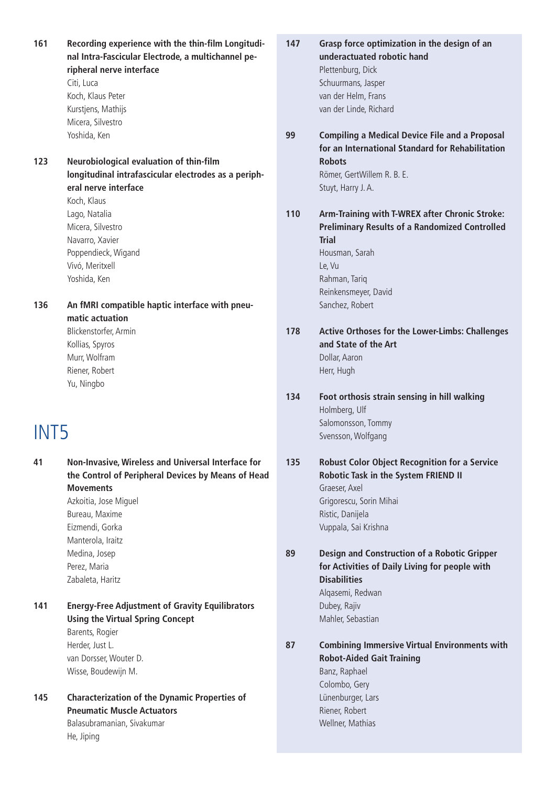**161 Recording experience with the thin-film Longitudinal Intra-Fascicular Electrode, a multichannel peripheral nerve interface** Citi, Luca Koch, Klaus Peter Kurstjens, Mathijs Micera, Silvestro Yoshida, Ken **123 Neurobiological evaluation of thin-film longitudinal intrafascicular electrodes as a peripheral nerve interface** Koch, Klaus Lago, Natalia Micera, Silvestro Navarro, Xavier Poppendieck, Wigand Vivó, Meritxell Yoshida, Ken **136 An fMRI compatible haptic interface with pneumatic actuation** Blickenstorfer, Armin Kollias, Spyros Murr, Wolfram Riener, Robert Yu, Ningbo INT5 **41 Non-Invasive, Wireless and Universal Interface for the Control of Peripheral Devices by Means of Head Movements** Azkoitia, Jose Miguel Bureau, Maxime Eizmendi, Gorka Manterola, Iraitz Medina, Josep Perez, Maria Zabaleta, Haritz **141 Energy-Free Adjustment of Gravity Equilibrators Using the Virtual Spring Concept** Barents, Rogier Herder, Just L. van Dorsser, Wouter D. Wisse, Boudewijn M.

**145 Characterization of the Dynamic Properties of Pneumatic Muscle Actuators** Balasubramanian, Sivakumar He, Jiping

**147 Grasp force optimization in the design of an underactuated robotic hand** Plettenburg, Dick Schuurmans, Jasper van der Helm, Frans van der Linde, Richard

**99 Compiling a Medical Device File and a Proposal for an International Standard for Rehabilitation Robots** Römer, GertWillem R. B. E. Stuyt, Harry J. A.

**110 Arm-Training with T-WREX after Chronic Stroke: Preliminary Results of a Randomized Controlled Trial** Housman, Sarah

> Le, Vu Rahman, Tariq Reinkensmeyer, David Sanchez, Robert

- **178 Active Orthoses for the Lower-Limbs: Challenges and State of the Art** Dollar, Aaron Herr, Hugh
- **134 Foot orthosis strain sensing in hill walking** Holmberg, Ulf Salomonsson, Tommy Svensson, Wolfgang
- **135 Robust Color Object Recognition for a Service Robotic Task in the System FRIEND II** Graeser, Axel Grigorescu, Sorin Mihai Ristic, Danijela Vuppala, Sai Krishna
- **89 Design and Construction of a Robotic Gripper for Activities of Daily Living for people with Disabilities** Alqasemi, Redwan

Dubey, Rajiv Mahler, Sebastian

Riener, Robert Wellner, Mathias

**87 Combining Immersive Virtual Environments with Robot-Aided Gait Training** Banz, Raphael Colombo, Gery Lünenburger, Lars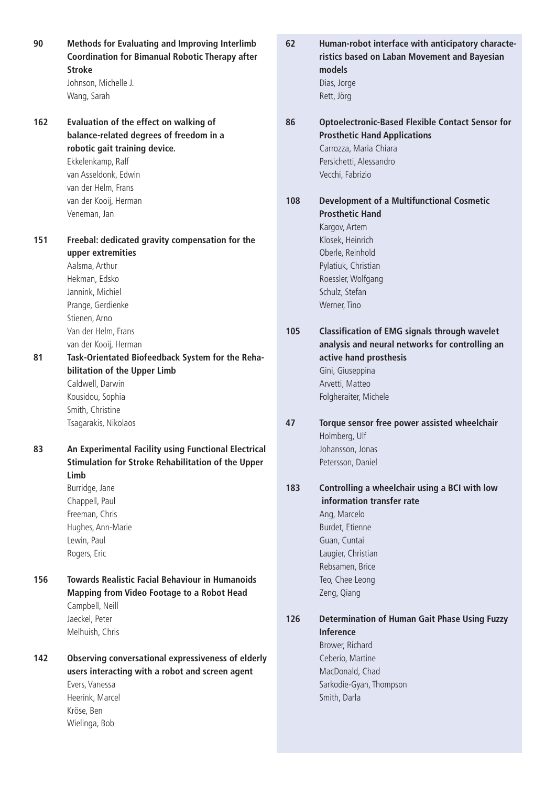**90 Methods for Evaluating and Improving Interlimb Coordination for Bimanual Robotic Therapy after Stroke** Johnson, Michelle J. Wang, Sarah **162 Evaluation of the effect on walking of balance-related degrees of freedom in a robotic gait training device.** Ekkelenkamp, Ralf van Asseldonk, Edwin van der Helm, Frans van der Kooij, Herman Veneman, Jan **151 Freebal: dedicated gravity compensation for the upper extremities** Aalsma, Arthur Hekman, Edsko Jannink, Michiel Prange, Gerdienke Stienen, Arno Van der Helm, Frans van der Kooij, Herman **81 Task-Orientated Biofeedback System for the Rehabilitation of the Upper Limb** Caldwell, Darwin Kousidou, Sophia Smith, Christine Tsagarakis, Nikolaos **83 An Experimental Facility using Functional Electrical Stimulation for Stroke Rehabilitation of the Upper Limb** Burridge, Jane Chappell, Paul Freeman, Chris Hughes, Ann-Marie Lewin, Paul Rogers, Eric **156 Towards Realistic Facial Behaviour in Humanoids Mapping from Video Footage to a Robot Head** Campbell, Neill Jaeckel, Peter Melhuish, Chris **142 Observing conversational expressiveness of elderly users interacting with a robot and screen agent** Evers, Vanessa Heerink, Marcel

> Kröse, Ben Wielinga, Bob

**ristics based on Laban Movement and Bayesian models** Dias, Jorge Rett, Jörg **86 Optoelectronic-Based Flexible Contact Sensor for Prosthetic Hand Applications** Carrozza, Maria Chiara Persichetti, Alessandro Vecchi, Fabrizio **108 Development of a Multifunctional Cosmetic Prosthetic Hand** Kargov, Artem Klosek, Heinrich Oberle, Reinhold Pylatiuk, Christian Roessler, Wolfgang Schulz, Stefan Werner, Tino **105 Classification of EMG signals through wavelet analysis and neural networks for controlling an active hand prosthesis** Gini, Giuseppina Arvetti, Matteo Folgheraiter, Michele **47 Torque sensor free power assisted wheelchair** Holmberg, Ulf Johansson, Jonas Petersson, Daniel **183 Controlling a wheelchair using a BCI with low information transfer rate** Ang, Marcelo Burdet, Etienne Guan, Cuntai Laugier, Christian Rebsamen, Brice Teo, Chee Leong Zeng, Qiang **126 Determination of Human Gait Phase Using Fuzzy Inference**

**62 Human-robot interface with anticipatory characte-**

Brower, Richard Ceberio, Martine MacDonald, Chad Sarkodie-Gyan, Thompson Smith, Darla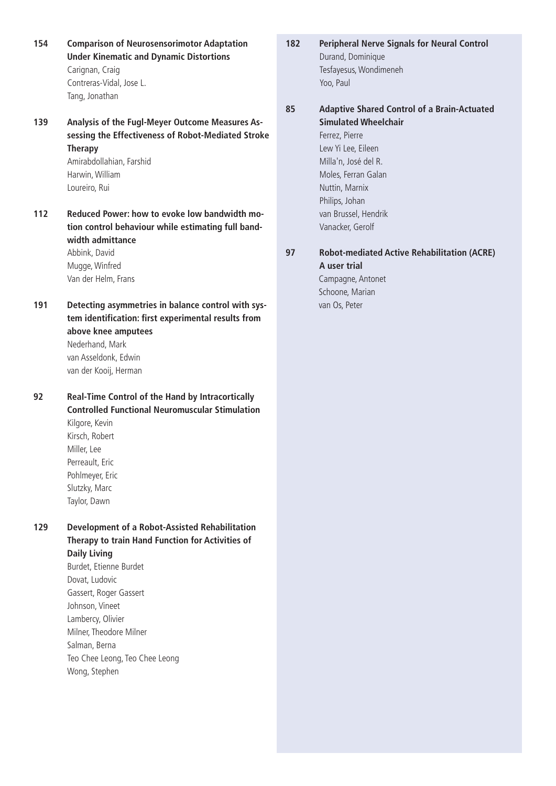- **154 Comparison of Neurosensorimotor Adaptation Under Kinematic and Dynamic Distortions** Carignan, Craig Contreras-Vidal, Jose L. Tang, Jonathan
- **139 Analysis of the Fugl-Meyer Outcome Measures Assessing the Effectiveness of Robot-Mediated Stroke Therapy** Amirabdollahian, Farshid

Harwin, William Loureiro, Rui

**112 Reduced Power: how to evoke low bandwidth motion control behaviour while estimating full bandwidth admittance** Abbink, David

Mugge, Winfred Van der Helm, Frans

**191 Detecting asymmetries in balance control with system identification: first experimental results from above knee amputees** Nederhand, Mark van Asseldonk, Edwin van der Kooij, Herman

**92 Real-Time Control of the Hand by Intracortically Controlled Functional Neuromuscular Stimulation** Kilgore, Kevin Kirsch, Robert Miller, Lee Perreault, Eric Pohlmeyer, Eric Slutzky, Marc Taylor, Dawn

- **129 Development of a Robot-Assisted Rehabilitation Therapy to train Hand Function for Activities of Daily Living** Burdet, Etienne Burdet Dovat, Ludovic
	- Gassert, Roger Gassert Johnson, Vineet Lambercy, Olivier Milner, Theodore Milner Salman, Berna Teo Chee Leong, Teo Chee Leong Wong, Stephen
- **182 Peripheral Nerve Signals for Neural Control** Durand, Dominique Tesfayesus, Wondimeneh Yoo, Paul
- **85 Adaptive Shared Control of a Brain-Actuated Simulated Wheelchair** Ferrez, Pierre

Lew Yi Lee, Eileen Milla'n, José del R. Moles, Ferran Galan Nuttin, Marnix Philips, Johan van Brussel, Hendrik Vanacker, Gerolf

### **97 Robot-mediated Active Rehabilitation (ACRE) A user trial**

Campagne, Antonet Schoone, Marian van Os, Peter